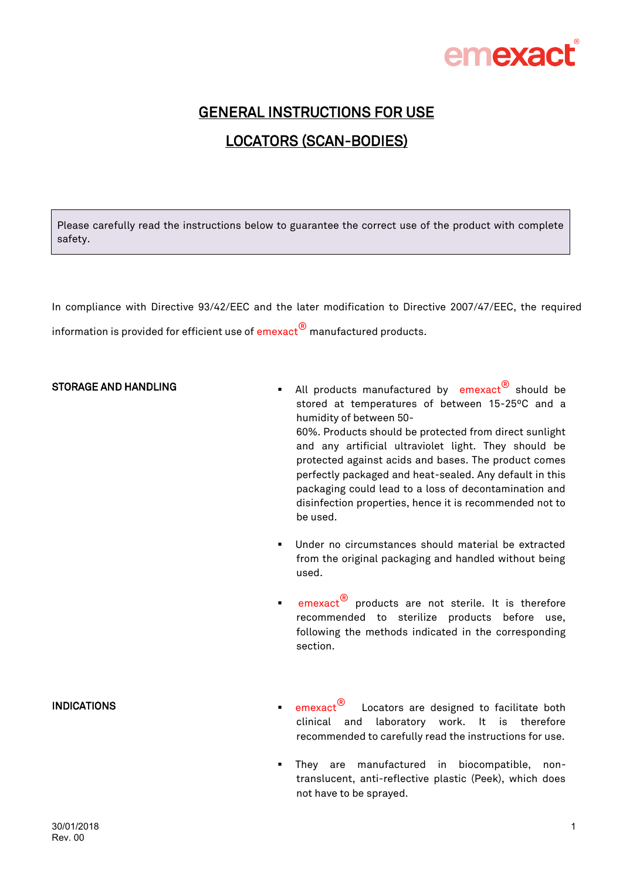

## GENERAL INSTRUCTIONS FOR USE LOCATORS (SCAN-BODIES)

Please carefully read the instructions below to guarantee the correct use of the product with complete safety.

In compliance with Directive 93/42/EEC and the later modification to Directive 2007/47/EEC, the required information is provided for efficient use of  $\mathsf{emexact}^\circledR$  manufactured products.

#### STORAGE AND HANDLING

- All products manufactured by  $emexact^{(8)}$  should be stored at temperatures of between 15-25ºC and a humidity of between 50- 60%. Products should be protected from direct sunlight and any artificial ultraviolet light. They should be protected against acids and bases. The product comes perfectly packaged and heat-sealed. Any default in this packaging could lead to a loss of decontamination and disinfection properties, hence it is recommended not to be used.
- Under no circumstances should material be extracted from the original packaging and handled without being used.
- emexact<sup>®</sup> products are not sterile. It is therefore recommended to sterilize products before use, following the methods indicated in the corresponding section.

#### INDICATIONS

- emexact<sup>®</sup> Locators are designed to facilitate both clinical and laboratory work. It is therefore recommended to carefully read the instructions for use.
- They are manufactured in biocompatible, nontranslucent, anti-reflective plastic (Peek), which does not have to be sprayed.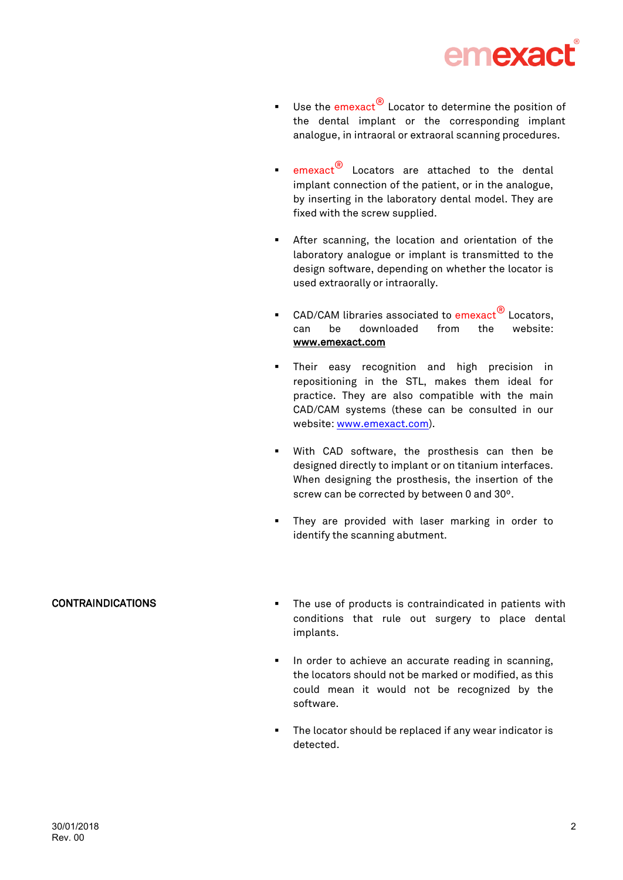

- Use the emexact $\bigcirc$  Locator to determine the position of the dental implant or the corresponding implant analogue, in intraoral or extraoral scanning procedures.
- emexact<sup>®</sup> Locators are attached to the dental implant connection of the patient, or in the analogue, by inserting in the laboratory dental model. They are fixed with the screw supplied.
- After scanning, the location and orientation of the laboratory analogue or implant is transmitted to the design software, depending on whether the locator is used extraorally or intraorally.
- CAD/CAM libraries associated to emexact<sup>®</sup> Locators, can be downloaded from the website: [www.emexact.com](http://www.emexact.com/)
- Their easy recognition and high precision in repositioning in the STL, makes them ideal for practice. They are also compatible with the main CAD/CAM systems (these can be consulted in our website: [www.emexact.com\)](http://www.emexact.com/).
- With CAD software, the prosthesis can then be designed directly to implant or on titanium interfaces. When designing the prosthesis, the insertion of the screw can be corrected by between 0 and 30º.
- They are provided with laser marking in order to identify the scanning abutment.

### CONTRAINDICATIONS

- The use of products is contraindicated in patients with conditions that rule out surgery to place dental implants.
- In order to achieve an accurate reading in scanning, the locators should not be marked or modified, as this could mean it would not be recognized by the software.
- The locator should be replaced if any wear indicator is detected.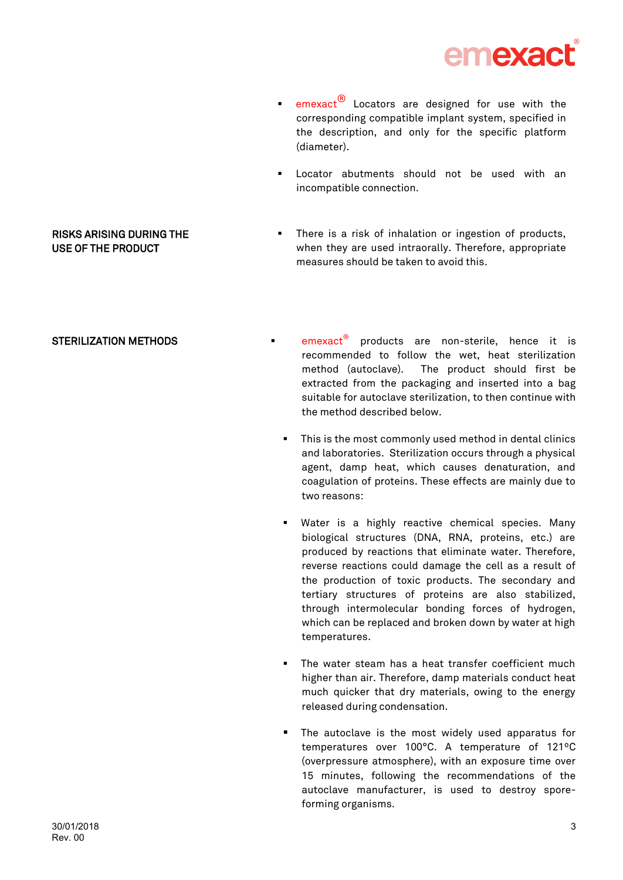

- **EXC** emexact<sup>®</sup> Locators are designed for use with the corresponding compatible implant system, specified in the description, and only for the specific platform (diameter).
- Locator abutments should not be used with an incompatible connection.
- There is a risk of inhalation or ingestion of products, when they are used intraorally. Therefore, appropriate measures should be taken to avoid this.

#### STERILIZATION METHODS

RISKS ARISING DURING THE USE OF THE PRODUCT

- $e^{i\theta}$  products are non-sterile, hence it is recommended to follow the wet, heat sterilization method (autoclave). The product should first be extracted from the packaging and inserted into a bag suitable for autoclave sterilization, to then continue with the method described below.
	- This is the most commonly used method in dental clinics and laboratories. Sterilization occurs through a physical agent, damp heat, which causes denaturation, and coagulation of proteins. These effects are mainly due to two reasons:
	- Water is a highly reactive chemical species. Many biological structures (DNA, RNA, proteins, etc.) are produced by reactions that eliminate water. Therefore, reverse reactions could damage the cell as a result of the production of toxic products. The secondary and tertiary structures of proteins are also stabilized, through intermolecular bonding forces of hydrogen, which can be replaced and broken down by water at high temperatures.
	- The water steam has a heat transfer coefficient much higher than air. Therefore, damp materials conduct heat much quicker that dry materials, owing to the energy released during condensation.
	- The autoclave is the most widely used apparatus for temperatures over 100°C. A temperature of 121ºC (overpressure atmosphere), with an exposure time over 15 minutes, following the recommendations of the autoclave manufacturer, is used to destroy sporeforming organisms.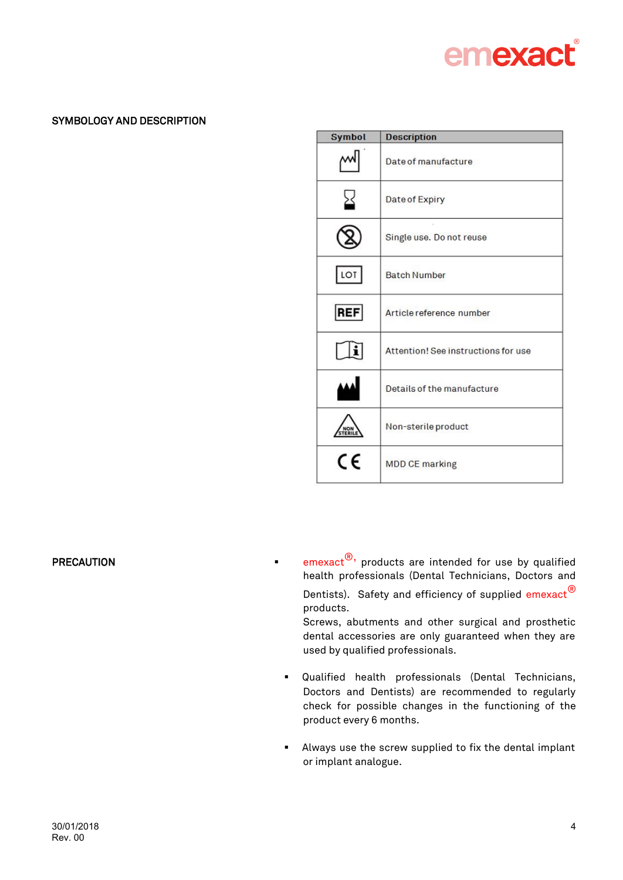# emexact

## SYMBOLOGY AND DESCRIPTION

| <b>Symbol</b> | <b>Description</b>                  |
|---------------|-------------------------------------|
|               | Date of manufacture                 |
|               | Date of Expiry                      |
|               | Single use. Do not reuse            |
| LOT           | <b>Batch Number</b>                 |
| <b>REF</b>    | Article reference number            |
|               | Attention! See instructions for use |
|               | Details of the manufacture          |
| NON<br>TERII  | Non-sterile product                 |
| CE            | <b>MDD CE marking</b>               |

**PRECAUTION EXECUTION EXECLUTION EXECLUTION EXECUTION EXECUTION EXECUTION EXECUTION** health professionals (Dental Technicians, Doctors and Dentists). Safety and efficiency of supplied emexact<sup>®</sup> products.

Screws, abutments and other surgical and prosthetic dental accessories are only guaranteed when they are used by qualified professionals.

- Qualified health professionals (Dental Technicians, Doctors and Dentists) are recommended to regularly check for possible changes in the functioning of the product every 6 months.
- Always use the screw supplied to fix the dental implant or implant analogue.